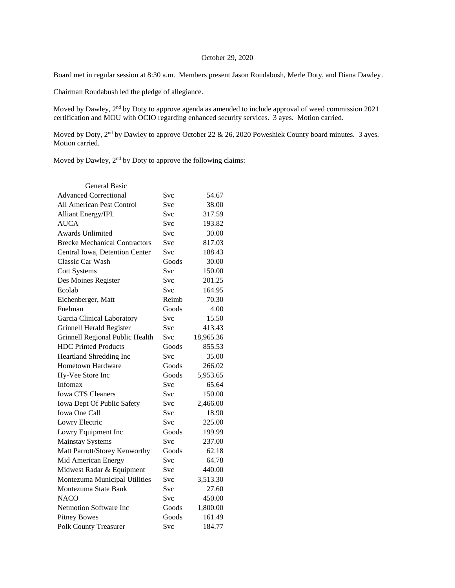## October 29, 2020

Board met in regular session at 8:30 a.m. Members present Jason Roudabush, Merle Doty, and Diana Dawley.

Chairman Roudabush led the pledge of allegiance.

Moved by Dawley, 2nd by Doty to approve agenda as amended to include approval of weed commission 2021 certification and MOU with OCIO regarding enhanced security services. 3 ayes. Motion carried.

Moved by Doty, 2<sup>nd</sup> by Dawley to approve October 22 & 26, 2020 Poweshiek County board minutes. 3 ayes. Motion carried.

Moved by Dawley, 2<sup>nd</sup> by Doty to approve the following claims:

| <b>General Basic</b>                 |            |           |
|--------------------------------------|------------|-----------|
| <b>Advanced Correctional</b>         | Svc        | 54.67     |
| <b>All American Pest Control</b>     | <b>Svc</b> | 38.00     |
| <b>Alliant Energy/IPL</b>            | <b>Svc</b> | 317.59    |
| AUCA                                 | <b>Svc</b> | 193.82    |
| <b>Awards Unlimited</b>              | Svc        | 30.00     |
| <b>Brecke Mechanical Contractors</b> | <b>Svc</b> | 817.03    |
| Central Iowa, Detention Center       | <b>Svc</b> | 188.43    |
| Classic Car Wash                     | Goods      | 30.00     |
| <b>Cott Systems</b>                  | Svc        | 150.00    |
| Des Moines Register                  | Svc        | 201.25    |
| Ecolab                               | <b>Svc</b> | 164.95    |
| Eichenberger, Matt                   | Reimb      | 70.30     |
| Fuelman                              | Goods      | 4.00      |
| Garcia Clinical Laboratory           | <b>Svc</b> | 15.50     |
| Grinnell Herald Register             | <b>Svc</b> | 413.43    |
| Grinnell Regional Public Health      | <b>Svc</b> | 18,965.36 |
| <b>HDC Printed Products</b>          | Goods      | 855.53    |
| Heartland Shredding Inc              | <b>Svc</b> | 35.00     |
| <b>Hometown Hardware</b>             | Goods      | 266.02    |
| Hy-Vee Store Inc                     | Goods      | 5,953.65  |
| Infomax                              | Svc        | 65.64     |
| <b>Iowa CTS Cleaners</b>             | <b>Svc</b> | 150.00    |
| Iowa Dept Of Public Safety           | <b>Svc</b> | 2,466.00  |
| <b>Iowa One Call</b>                 | <b>Svc</b> | 18.90     |
| Lowry Electric                       | <b>Svc</b> | 225.00    |
| Lowry Equipment Inc                  | Goods      | 199.99    |
| <b>Mainstay Systems</b>              | Svc        | 237.00    |
| Matt Parrott/Storey Kenworthy        | Goods      | 62.18     |
| Mid American Energy                  | <b>Svc</b> | 64.78     |
| Midwest Radar & Equipment            | Svc        | 440.00    |
| Montezuma Municipal Utilities        | Svc        | 3,513.30  |
| Montezuma State Bank                 | Svc        | 27.60     |
| <b>NACO</b>                          | <b>Svc</b> | 450.00    |
| <b>Netmotion Software Inc</b>        | Goods      | 1,800.00  |
| <b>Pitney Bowes</b>                  | Goods      | 161.49    |
| <b>Polk County Treasurer</b>         | Svc        | 184.77    |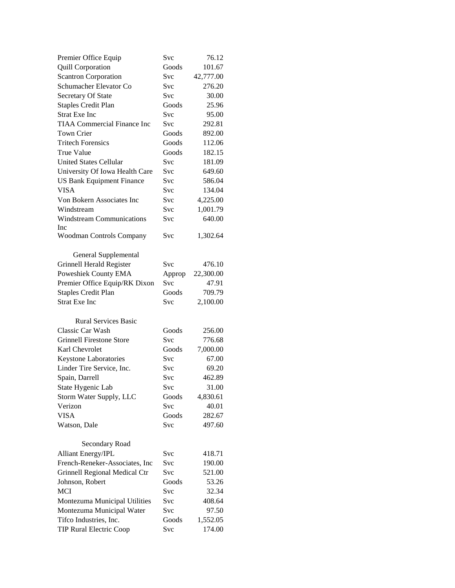| Premier Office Equip               | <b>Svc</b> | 76.12     |
|------------------------------------|------------|-----------|
| Quill Corporation                  | Goods      | 101.67    |
| <b>Scantron Corporation</b>        | Svc        | 42,777.00 |
| Schumacher Elevator Co             | Svc        | 276.20    |
| Secretary Of State                 | Svc        | 30.00     |
| <b>Staples Credit Plan</b>         | Goods      | 25.96     |
| <b>Strat Exe Inc</b>               | Svc        | 95.00     |
| <b>TIAA Commercial Finance Inc</b> | Svc        | 292.81    |
| <b>Town Crier</b>                  | Goods      | 892.00    |
| <b>Tritech Forensics</b>           | Goods      | 112.06    |
| <b>True Value</b>                  | Goods      | 182.15    |
| <b>United States Cellular</b>      | <b>Svc</b> | 181.09    |
| University Of Iowa Health Care     | Svc        | 649.60    |
| <b>US Bank Equipment Finance</b>   | <b>Svc</b> | 586.04    |
| <b>VISA</b>                        | <b>Svc</b> | 134.04    |
| Von Bokern Associates Inc          | Svc        | 4,225.00  |
| Windstream                         | <b>Svc</b> | 1,001.79  |
| <b>Windstream Communications</b>   | <b>Svc</b> | 640.00    |
| Inc                                |            |           |
| Woodman Controls Company           | Svc        | 1,302.64  |
|                                    |            |           |
| General Supplemental               |            |           |
| Grinnell Herald Register           | Svc        | 476.10    |
| Poweshiek County EMA               | Approp     | 22,300.00 |
| Premier Office Equip/RK Dixon      | <b>Svc</b> | 47.91     |
| <b>Staples Credit Plan</b>         | Goods      | 709.79    |
| <b>Strat Exe Inc</b>               | Svc        | 2,100.00  |
|                                    |            |           |
| <b>Rural Services Basic</b>        |            |           |
| Classic Car Wash                   | Goods      | 256.00    |
| <b>Grinnell Firestone Store</b>    | <b>Svc</b> | 776.68    |
| Karl Chevrolet                     | Goods      | 7,000.00  |
| Keystone Laboratories              | Svc        | 67.00     |
| Linder Tire Service, Inc.          | Svc        | 69.20     |
| Spain, Darrell                     | Svc        | 462.89    |
| State Hygenic Lab                  | Svc        | 31.00     |
| Storm Water Supply, LLC            | Goods      | 4,830.61  |
| Verizon                            | Svc        | 40.01     |
| <b>VISA</b>                        | Goods      | 282.67    |
| Watson, Dale                       | Svc        | 497.60    |
|                                    |            |           |
| Secondary Road                     |            |           |
| <b>Alliant Energy/IPL</b>          | Svc        | 418.71    |
| French-Reneker-Associates, Inc     | Svc        | 190.00    |
| Grinnell Regional Medical Ctr      | Svc        | 521.00    |
| Johnson, Robert                    | Goods      | 53.26     |
| <b>MCI</b>                         | Svc        | 32.34     |
| Montezuma Municipal Utilities      | Svc        | 408.64    |
| Montezuma Municipal Water          | Svc        | 97.50     |
| Tifco Industries, Inc.             |            |           |
|                                    | Goods      | 1,552.05  |